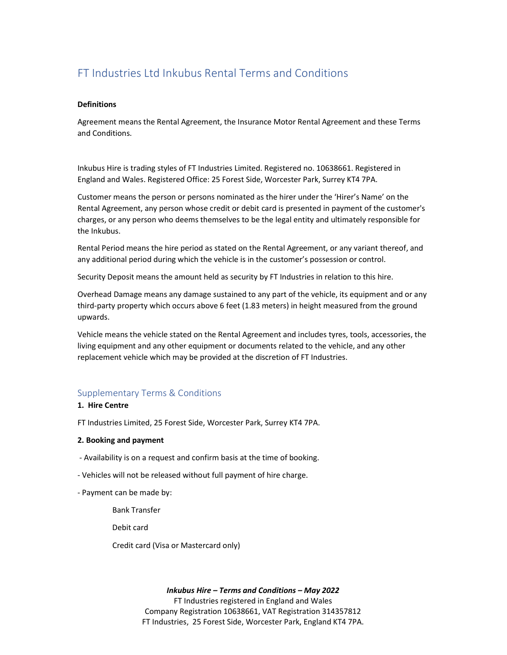# FT Industries Ltd Inkubus Rental Terms and Conditions

## **Definitions**

Agreement means the Rental Agreement, the Insurance Motor Rental Agreement and these Terms and Conditions.

Inkubus Hire is trading styles of FT Industries Limited. Registered no. 10638661. Registered in England and Wales. Registered Office: 25 Forest Side, Worcester Park, Surrey KT4 7PA.

Customer means the person or persons nominated as the hirer under the 'Hirer's Name' on the Rental Agreement, any person whose credit or debit card is presented in payment of the customer's charges, or any person who deems themselves to be the legal entity and ultimately responsible for the Inkubus.

Rental Period means the hire period as stated on the Rental Agreement, or any variant thereof, and any additional period during which the vehicle is in the customer's possession or control.

Security Deposit means the amount held as security by FT Industries in relation to this hire.

Overhead Damage means any damage sustained to any part of the vehicle, its equipment and or any third-party property which occurs above 6 feet (1.83 meters) in height measured from the ground upwards.

Vehicle means the vehicle stated on the Rental Agreement and includes tyres, tools, accessories, the living equipment and any other equipment or documents related to the vehicle, and any other replacement vehicle which may be provided at the discretion of FT Industries.

## Supplementary Terms & Conditions

## 1. Hire Centre

FT Industries Limited, 25 Forest Side, Worcester Park, Surrey KT4 7PA.

## 2. Booking and payment

- Availability is on a request and confirm basis at the time of booking.
- Vehicles will not be released without full payment of hire charge.
- Payment can be made by:

Bank Transfer

Debit card

Credit card (Visa or Mastercard only)

#### Inkubus Hire – Terms and Conditions – May 2022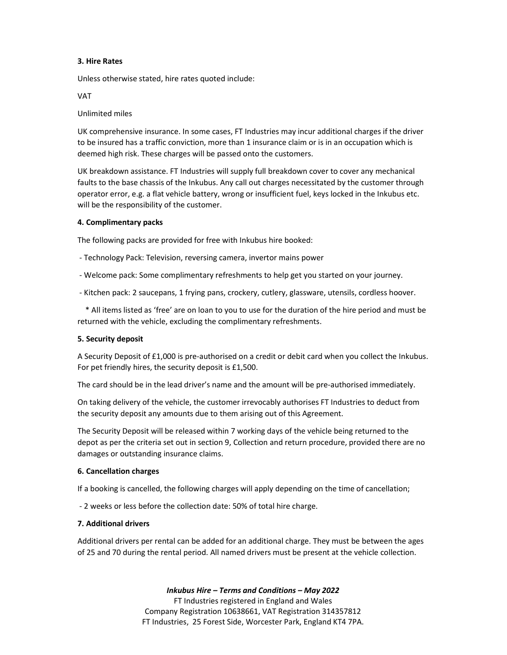## 3. Hire Rates

Unless otherwise stated, hire rates quoted include:

VAT

## Unlimited miles

UK comprehensive insurance. In some cases, FT Industries may incur additional charges if the driver to be insured has a traffic conviction, more than 1 insurance claim or is in an occupation which is deemed high risk. These charges will be passed onto the customers.

UK breakdown assistance. FT Industries will supply full breakdown cover to cover any mechanical faults to the base chassis of the Inkubus. Any call out charges necessitated by the customer through operator error, e.g. a flat vehicle battery, wrong or insufficient fuel, keys locked in the Inkubus etc. will be the responsibility of the customer.

### 4. Complimentary packs

The following packs are provided for free with Inkubus hire booked:

- Technology Pack: Television, reversing camera, invertor mains power
- Welcome pack: Some complimentary refreshments to help get you started on your journey.
- Kitchen pack: 2 saucepans, 1 frying pans, crockery, cutlery, glassware, utensils, cordless hoover.

 \* All items listed as 'free' are on loan to you to use for the duration of the hire period and must be returned with the vehicle, excluding the complimentary refreshments.

#### 5. Security deposit

A Security Deposit of £1,000 is pre-authorised on a credit or debit card when you collect the Inkubus. For pet friendly hires, the security deposit is £1,500.

The card should be in the lead driver's name and the amount will be pre-authorised immediately.

On taking delivery of the vehicle, the customer irrevocably authorises FT Industries to deduct from the security deposit any amounts due to them arising out of this Agreement.

The Security Deposit will be released within 7 working days of the vehicle being returned to the depot as per the criteria set out in section 9, Collection and return procedure, provided there are no damages or outstanding insurance claims.

#### 6. Cancellation charges

If a booking is cancelled, the following charges will apply depending on the time of cancellation;

- 2 weeks or less before the collection date: 50% of total hire charge.

#### 7. Additional drivers

Additional drivers per rental can be added for an additional charge. They must be between the ages of 25 and 70 during the rental period. All named drivers must be present at the vehicle collection.

## Inkubus Hire – Terms and Conditions – May 2022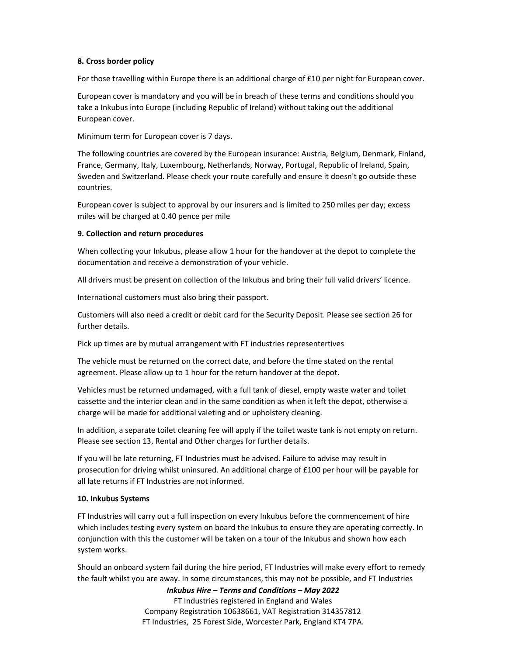## 8. Cross border policy

For those travelling within Europe there is an additional charge of £10 per night for European cover.

European cover is mandatory and you will be in breach of these terms and conditions should you take a Inkubus into Europe (including Republic of Ireland) without taking out the additional European cover.

Minimum term for European cover is 7 days.

The following countries are covered by the European insurance: Austria, Belgium, Denmark, Finland, France, Germany, Italy, Luxembourg, Netherlands, Norway, Portugal, Republic of Ireland, Spain, Sweden and Switzerland. Please check your route carefully and ensure it doesn't go outside these countries.

European cover is subject to approval by our insurers and is limited to 250 miles per day; excess miles will be charged at 0.40 pence per mile

## 9. Collection and return procedures

When collecting your Inkubus, please allow 1 hour for the handover at the depot to complete the documentation and receive a demonstration of your vehicle.

All drivers must be present on collection of the Inkubus and bring their full valid drivers' licence.

International customers must also bring their passport.

Customers will also need a credit or debit card for the Security Deposit. Please see section 26 for further details.

Pick up times are by mutual arrangement with FT industries representertives

The vehicle must be returned on the correct date, and before the time stated on the rental agreement. Please allow up to 1 hour for the return handover at the depot.

Vehicles must be returned undamaged, with a full tank of diesel, empty waste water and toilet cassette and the interior clean and in the same condition as when it left the depot, otherwise a charge will be made for additional valeting and or upholstery cleaning.

In addition, a separate toilet cleaning fee will apply if the toilet waste tank is not empty on return. Please see section 13, Rental and Other charges for further details.

If you will be late returning, FT Industries must be advised. Failure to advise may result in prosecution for driving whilst uninsured. An additional charge of £100 per hour will be payable for all late returns if FT Industries are not informed.

## 10. Inkubus Systems

FT Industries will carry out a full inspection on every Inkubus before the commencement of hire which includes testing every system on board the Inkubus to ensure they are operating correctly. In conjunction with this the customer will be taken on a tour of the Inkubus and shown how each system works.

Should an onboard system fail during the hire period, FT Industries will make every effort to remedy the fault whilst you are away. In some circumstances, this may not be possible, and FT Industries

Inkubus Hire – Terms and Conditions – May 2022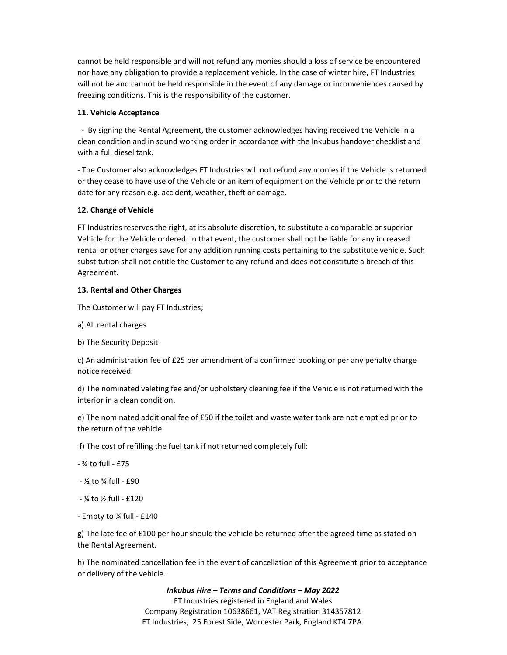cannot be held responsible and will not refund any monies should a loss of service be encountered nor have any obligation to provide a replacement vehicle. In the case of winter hire, FT Industries will not be and cannot be held responsible in the event of any damage or inconveniences caused by freezing conditions. This is the responsibility of the customer.

## 11. Vehicle Acceptance

 - By signing the Rental Agreement, the customer acknowledges having received the Vehicle in a clean condition and in sound working order in accordance with the Inkubus handover checklist and with a full diesel tank.

- The Customer also acknowledges FT Industries will not refund any monies if the Vehicle is returned or they cease to have use of the Vehicle or an item of equipment on the Vehicle prior to the return date for any reason e.g. accident, weather, theft or damage.

### 12. Change of Vehicle

FT Industries reserves the right, at its absolute discretion, to substitute a comparable or superior Vehicle for the Vehicle ordered. In that event, the customer shall not be liable for any increased rental or other charges save for any addition running costs pertaining to the substitute vehicle. Such substitution shall not entitle the Customer to any refund and does not constitute a breach of this Agreement.

### 13. Rental and Other Charges

The Customer will pay FT Industries;

a) All rental charges

b) The Security Deposit

c) An administration fee of £25 per amendment of a confirmed booking or per any penalty charge notice received.

d) The nominated valeting fee and/or upholstery cleaning fee if the Vehicle is not returned with the interior in a clean condition.

e) The nominated additional fee of £50 if the toilet and waste water tank are not emptied prior to the return of the vehicle.

f) The cost of refilling the fuel tank if not returned completely full:

- ¾ to full - £75

 $-$  % to  $\frac{3}{4}$  full -  $f90$ 

- ¼ to ½ full - £120

- Empty to ¼ full - £140

g) The late fee of £100 per hour should the vehicle be returned after the agreed time as stated on the Rental Agreement.

h) The nominated cancellation fee in the event of cancellation of this Agreement prior to acceptance or delivery of the vehicle.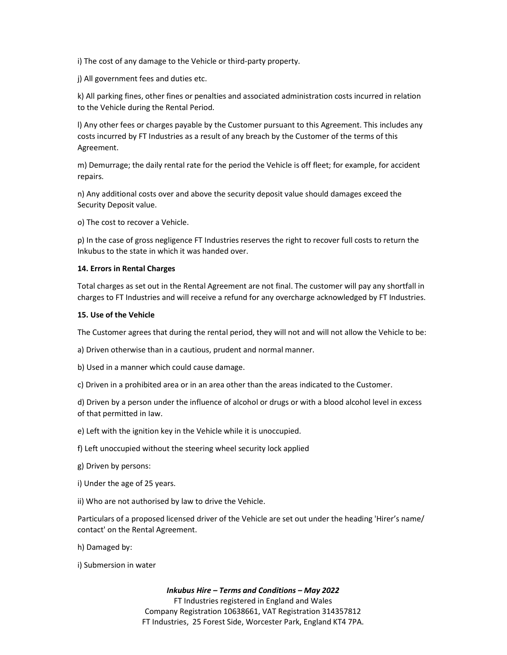i) The cost of any damage to the Vehicle or third-party property.

j) All government fees and duties etc.

k) All parking fines, other fines or penalties and associated administration costs incurred in relation to the Vehicle during the Rental Period.

l) Any other fees or charges payable by the Customer pursuant to this Agreement. This includes any costs incurred by FT Industries as a result of any breach by the Customer of the terms of this Agreement.

m) Demurrage; the daily rental rate for the period the Vehicle is off fleet; for example, for accident repairs.

n) Any additional costs over and above the security deposit value should damages exceed the Security Deposit value.

o) The cost to recover a Vehicle.

p) In the case of gross negligence FT Industries reserves the right to recover full costs to return the Inkubus to the state in which it was handed over.

## 14. Errors in Rental Charges

Total charges as set out in the Rental Agreement are not final. The customer will pay any shortfall in charges to FT Industries and will receive a refund for any overcharge acknowledged by FT Industries.

#### 15. Use of the Vehicle

The Customer agrees that during the rental period, they will not and will not allow the Vehicle to be:

a) Driven otherwise than in a cautious, prudent and normal manner.

b) Used in a manner which could cause damage.

c) Driven in a prohibited area or in an area other than the areas indicated to the Customer.

d) Driven by a person under the influence of alcohol or drugs or with a blood alcohol level in excess of that permitted in Iaw.

e) Left with the ignition key in the Vehicle while it is unoccupied.

f) Left unoccupied without the steering wheel security lock applied

g) Driven by persons:

i) Under the age of 25 years.

ii) Who are not authorised by law to drive the Vehicle.

Particulars of a proposed licensed driver of the Vehicle are set out under the heading 'Hirer's name/ contact' on the Rental Agreement.

h) Damaged by:

i) Submersion in water

## Inkubus Hire – Terms and Conditions – May 2022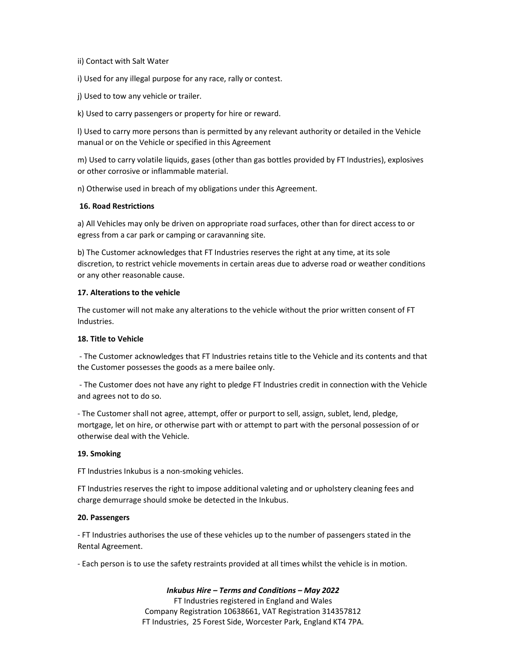## ii) Contact with Salt Water

i) Used for any illegal purpose for any race, rally or contest.

j) Used to tow any vehicle or trailer.

k) Used to carry passengers or property for hire or reward.

l) Used to carry more persons than is permitted by any relevant authority or detailed in the Vehicle manual or on the Vehicle or specified in this Agreement

m) Used to carry volatile liquids, gases (other than gas bottles provided by FT Industries), explosives or other corrosive or inflammable material.

n) Otherwise used in breach of my obligations under this Agreement.

### 16. Road Restrictions

a) All Vehicles may only be driven on appropriate road surfaces, other than for direct access to or egress from a car park or camping or caravanning site.

b) The Customer acknowledges that FT Industries reserves the right at any time, at its sole discretion, to restrict vehicle movements in certain areas due to adverse road or weather conditions or any other reasonable cause.

### 17. Alterations to the vehicle

The customer will not make any alterations to the vehicle without the prior written consent of FT Industries.

#### 18. Title to Vehicle

 - The Customer acknowledges that FT Industries retains title to the Vehicle and its contents and that the Customer possesses the goods as a mere bailee only.

 - The Customer does not have any right to pledge FT Industries credit in connection with the Vehicle and agrees not to do so.

- The Customer shall not agree, attempt, offer or purport to sell, assign, sublet, lend, pledge, mortgage, let on hire, or otherwise part with or attempt to part with the personal possession of or otherwise deal with the Vehicle.

#### 19. Smoking

FT Industries Inkubus is a non-smoking vehicles.

FT Industries reserves the right to impose additional valeting and or upholstery cleaning fees and charge demurrage should smoke be detected in the Inkubus.

#### 20. Passengers

- FT Industries authorises the use of these vehicles up to the number of passengers stated in the Rental Agreement.

- Each person is to use the safety restraints provided at all times whilst the vehicle is in motion.

#### Inkubus Hire – Terms and Conditions – May 2022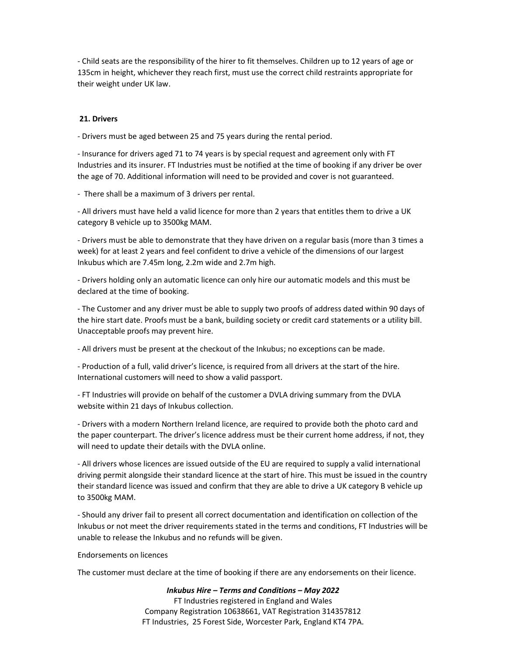- Child seats are the responsibility of the hirer to fit themselves. Children up to 12 years of age or 135cm in height, whichever they reach first, must use the correct child restraints appropriate for their weight under UK law.

## 21. Drivers

- Drivers must be aged between 25 and 75 years during the rental period.

- Insurance for drivers aged 71 to 74 years is by special request and agreement only with FT Industries and its insurer. FT Industries must be notified at the time of booking if any driver be over the age of 70. Additional information will need to be provided and cover is not guaranteed.

- There shall be a maximum of 3 drivers per rental.

- All drivers must have held a valid licence for more than 2 years that entitles them to drive a UK category B vehicle up to 3500kg MAM.

- Drivers must be able to demonstrate that they have driven on a regular basis (more than 3 times a week) for at least 2 years and feel confident to drive a vehicle of the dimensions of our largest Inkubus which are 7.45m long, 2.2m wide and 2.7m high.

- Drivers holding only an automatic licence can only hire our automatic models and this must be declared at the time of booking.

- The Customer and any driver must be able to supply two proofs of address dated within 90 days of the hire start date. Proofs must be a bank, building society or credit card statements or a utility bill. Unacceptable proofs may prevent hire.

- All drivers must be present at the checkout of the Inkubus; no exceptions can be made.

- Production of a full, valid driver's licence, is required from all drivers at the start of the hire. International customers will need to show a valid passport.

- FT Industries will provide on behalf of the customer a DVLA driving summary from the DVLA website within 21 days of Inkubus collection.

- Drivers with a modern Northern Ireland licence, are required to provide both the photo card and the paper counterpart. The driver's licence address must be their current home address, if not, they will need to update their details with the DVLA online.

- All drivers whose licences are issued outside of the EU are required to supply a valid international driving permit alongside their standard licence at the start of hire. This must be issued in the country their standard licence was issued and confirm that they are able to drive a UK category B vehicle up to 3500kg MAM.

- Should any driver fail to present all correct documentation and identification on collection of the Inkubus or not meet the driver requirements stated in the terms and conditions, FT Industries will be unable to release the Inkubus and no refunds will be given.

## Endorsements on licences

The customer must declare at the time of booking if there are any endorsements on their licence.

#### Inkubus Hire – Terms and Conditions – May 2022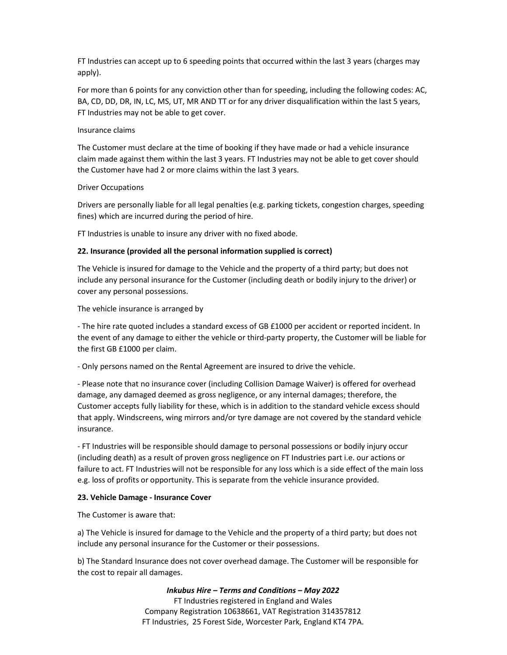FT Industries can accept up to 6 speeding points that occurred within the last 3 years (charges may apply).

For more than 6 points for any conviction other than for speeding, including the following codes: AC, BA, CD, DD, DR, IN, LC, MS, UT, MR AND TT or for any driver disqualification within the last 5 years, FT Industries may not be able to get cover.

## Insurance claims

The Customer must declare at the time of booking if they have made or had a vehicle insurance claim made against them within the last 3 years. FT Industries may not be able to get cover should the Customer have had 2 or more claims within the last 3 years.

### Driver Occupations

Drivers are personally liable for all legal penalties (e.g. parking tickets, congestion charges, speeding fines) which are incurred during the period of hire.

FT Industries is unable to insure any driver with no fixed abode.

## 22. Insurance (provided all the personal information supplied is correct)

The Vehicle is insured for damage to the Vehicle and the property of a third party; but does not include any personal insurance for the Customer (including death or bodily injury to the driver) or cover any personal possessions.

The vehicle insurance is arranged by

- The hire rate quoted includes a standard excess of GB £1000 per accident or reported incident. In the event of any damage to either the vehicle or third-party property, the Customer will be liable for the first GB £1000 per claim.

- Only persons named on the Rental Agreement are insured to drive the vehicle.

- Please note that no insurance cover (including Collision Damage Waiver) is offered for overhead damage, any damaged deemed as gross negligence, or any internal damages; therefore, the Customer accepts fully liability for these, which is in addition to the standard vehicle excess should that apply. Windscreens, wing mirrors and/or tyre damage are not covered by the standard vehicle insurance.

- FT Industries will be responsible should damage to personal possessions or bodily injury occur (including death) as a result of proven gross negligence on FT Industries part i.e. our actions or failure to act. FT Industries will not be responsible for any loss which is a side effect of the main loss e.g. loss of profits or opportunity. This is separate from the vehicle insurance provided.

## 23. Vehicle Damage - Insurance Cover

The Customer is aware that:

a) The Vehicle is insured for damage to the Vehicle and the property of a third party; but does not include any personal insurance for the Customer or their possessions.

b) The Standard Insurance does not cover overhead damage. The Customer will be responsible for the cost to repair all damages.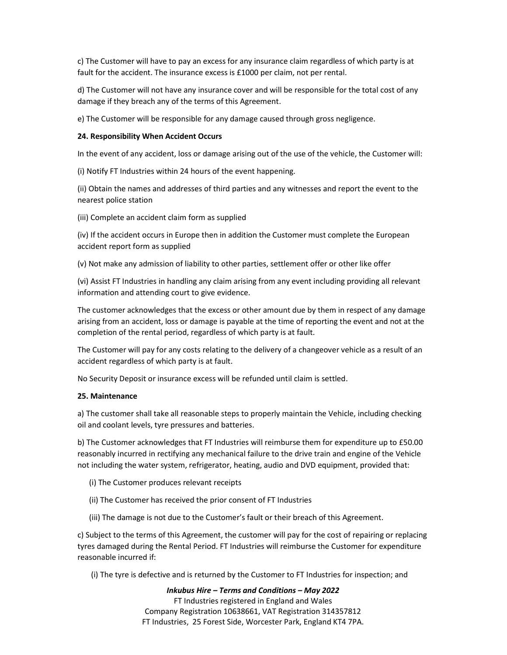c) The Customer will have to pay an excess for any insurance claim regardless of which party is at fault for the accident. The insurance excess is £1000 per claim, not per rental.

d) The Customer will not have any insurance cover and will be responsible for the total cost of any damage if they breach any of the terms of this Agreement.

e) The Customer will be responsible for any damage caused through gross negligence.

## 24. Responsibility When Accident Occurs

In the event of any accident, loss or damage arising out of the use of the vehicle, the Customer will:

(i) Notify FT Industries within 24 hours of the event happening.

(ii) Obtain the names and addresses of third parties and any witnesses and report the event to the nearest police station

(iii) Complete an accident claim form as supplied

(iv) If the accident occurs in Europe then in addition the Customer must complete the European accident report form as supplied

(v) Not make any admission of liability to other parties, settlement offer or other like offer

(vi) Assist FT Industries in handling any claim arising from any event including providing all relevant information and attending court to give evidence.

The customer acknowledges that the excess or other amount due by them in respect of any damage arising from an accident, loss or damage is payable at the time of reporting the event and not at the completion of the rental period, regardless of which party is at fault.

The Customer will pay for any costs relating to the delivery of a changeover vehicle as a result of an accident regardless of which party is at fault.

No Security Deposit or insurance excess will be refunded until claim is settled.

## 25. Maintenance

a) The customer shall take all reasonable steps to properly maintain the Vehicle, including checking oil and coolant levels, tyre pressures and batteries.

b) The Customer acknowledges that FT Industries will reimburse them for expenditure up to £50.00 reasonably incurred in rectifying any mechanical failure to the drive train and engine of the Vehicle not including the water system, refrigerator, heating, audio and DVD equipment, provided that:

(i) The Customer produces relevant receipts

- (ii) The Customer has received the prior consent of FT Industries
- (iii) The damage is not due to the Customer's fault or their breach of this Agreement.

c) Subject to the terms of this Agreement, the customer will pay for the cost of repairing or replacing tyres damaged during the Rental Period. FT Industries will reimburse the Customer for expenditure reasonable incurred if:

(i) The tyre is defective and is returned by the Customer to FT Industries for inspection; and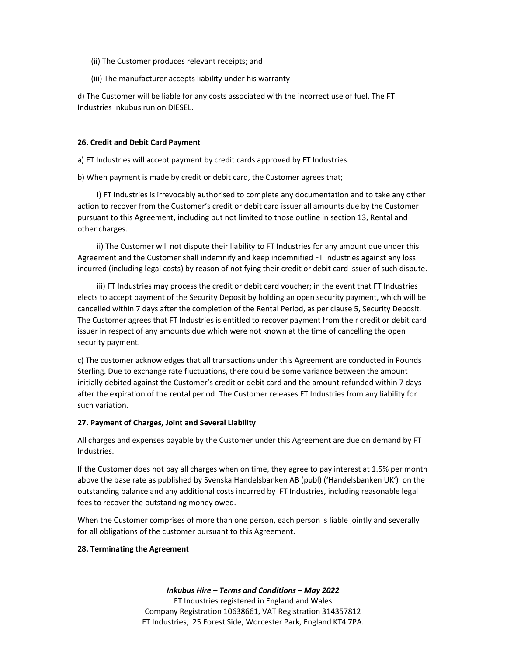- (ii) The Customer produces relevant receipts; and
- (iii) The manufacturer accepts liability under his warranty

d) The Customer will be liable for any costs associated with the incorrect use of fuel. The FT Industries Inkubus run on DIESEL.

### 26. Credit and Debit Card Payment

a) FT Industries will accept payment by credit cards approved by FT Industries.

b) When payment is made by credit or debit card, the Customer agrees that;

 i) FT Industries is irrevocably authorised to complete any documentation and to take any other action to recover from the Customer's credit or debit card issuer all amounts due by the Customer pursuant to this Agreement, including but not limited to those outline in section 13, Rental and other charges.

 ii) The Customer will not dispute their liability to FT Industries for any amount due under this Agreement and the Customer shall indemnify and keep indemnified FT Industries against any loss incurred (including legal costs) by reason of notifying their credit or debit card issuer of such dispute.

 iii) FT Industries may process the credit or debit card voucher; in the event that FT Industries elects to accept payment of the Security Deposit by holding an open security payment, which will be cancelled within 7 days after the completion of the Rental Period, as per clause 5, Security Deposit. The Customer agrees that FT Industries is entitled to recover payment from their credit or debit card issuer in respect of any amounts due which were not known at the time of cancelling the open security payment.

c) The customer acknowledges that all transactions under this Agreement are conducted in Pounds Sterling. Due to exchange rate fluctuations, there could be some variance between the amount initially debited against the Customer's credit or debit card and the amount refunded within 7 days after the expiration of the rental period. The Customer releases FT Industries from any liability for such variation.

## 27. Payment of Charges, Joint and Several Liability

All charges and expenses payable by the Customer under this Agreement are due on demand by FT Industries.

If the Customer does not pay all charges when on time, they agree to pay interest at 1.5% per month above the base rate as published by Svenska Handelsbanken AB (publ) ('Handelsbanken UK') on the outstanding balance and any additional costs incurred by FT Industries, including reasonable legal fees to recover the outstanding money owed.

When the Customer comprises of more than one person, each person is liable jointly and severally for all obligations of the customer pursuant to this Agreement.

## 28. Terminating the Agreement

#### Inkubus Hire – Terms and Conditions – May 2022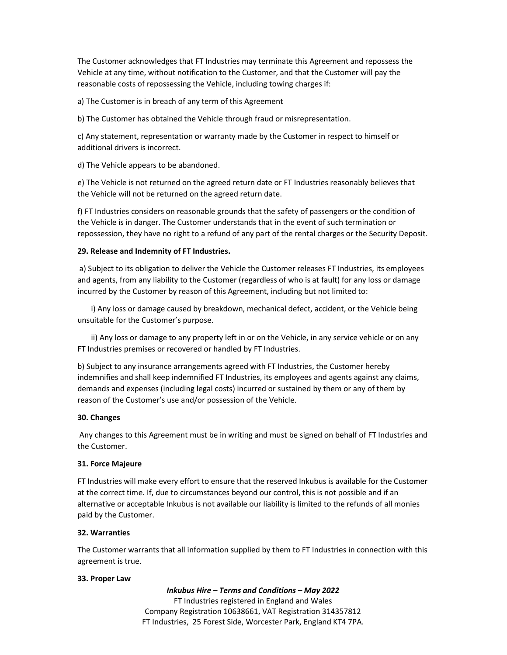The Customer acknowledges that FT Industries may terminate this Agreement and repossess the Vehicle at any time, without notification to the Customer, and that the Customer will pay the reasonable costs of repossessing the Vehicle, including towing charges if:

a) The Customer is in breach of any term of this Agreement

b) The Customer has obtained the Vehicle through fraud or misrepresentation.

c) Any statement, representation or warranty made by the Customer in respect to himself or additional drivers is incorrect.

d) The Vehicle appears to be abandoned.

e) The Vehicle is not returned on the agreed return date or FT Industries reasonably believes that the Vehicle will not be returned on the agreed return date.

f) FT Industries considers on reasonable grounds that the safety of passengers or the condition of the Vehicle is in danger. The Customer understands that in the event of such termination or repossession, they have no right to a refund of any part of the rental charges or the Security Deposit.

### 29. Release and Indemnity of FT Industries.

 a) Subject to its obligation to deliver the Vehicle the Customer releases FT Industries, its employees and agents, from any liability to the Customer (regardless of who is at fault) for any loss or damage incurred by the Customer by reason of this Agreement, including but not limited to:

 i) Any loss or damage caused by breakdown, mechanical defect, accident, or the Vehicle being unsuitable for the Customer's purpose.

 ii) Any loss or damage to any property left in or on the Vehicle, in any service vehicle or on any FT Industries premises or recovered or handled by FT Industries.

b) Subject to any insurance arrangements agreed with FT Industries, the Customer hereby indemnifies and shall keep indemnified FT Industries, its employees and agents against any claims, demands and expenses (including legal costs) incurred or sustained by them or any of them by reason of the Customer's use and/or possession of the Vehicle.

## 30. Changes

 Any changes to this Agreement must be in writing and must be signed on behalf of FT Industries and the Customer.

## 31. Force Majeure

FT Industries will make every effort to ensure that the reserved Inkubus is available for the Customer at the correct time. If, due to circumstances beyond our control, this is not possible and if an alternative or acceptable Inkubus is not available our liability is limited to the refunds of all monies paid by the Customer.

#### 32. Warranties

The Customer warrants that all information supplied by them to FT Industries in connection with this agreement is true.

#### 33. Proper Law

## Inkubus Hire – Terms and Conditions – May 2022